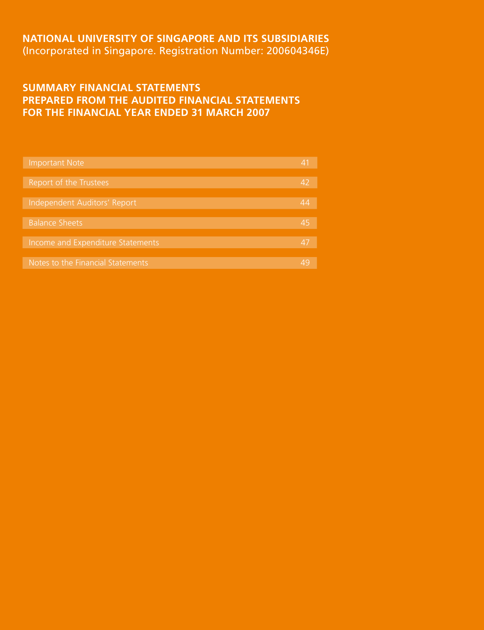# **NATIONAL UNIVERSITY OF SINGAPORE AND ITS SUBSIDIARIES** (Incorporated in Singapore. Registration Number: 200604346E)

# **SUMMARY FINANCIAL STATEMENTS PREPARED FROM THE AUDITED FINANCIAL STATEMENTS FOR THE FINANCIAL YEAR ENDED 31 MARCH 2007**

| <b>Important Note</b>             | 41 |
|-----------------------------------|----|
|                                   |    |
| Report of the Trustees            | Δ. |
|                                   |    |
| Independent Auditors' Report      | 44 |
|                                   |    |
| <b>Balance Sheets</b>             | 45 |
|                                   |    |
| Income and Expenditure Statements | 4. |
|                                   |    |
| Notes to the Financial Statements |    |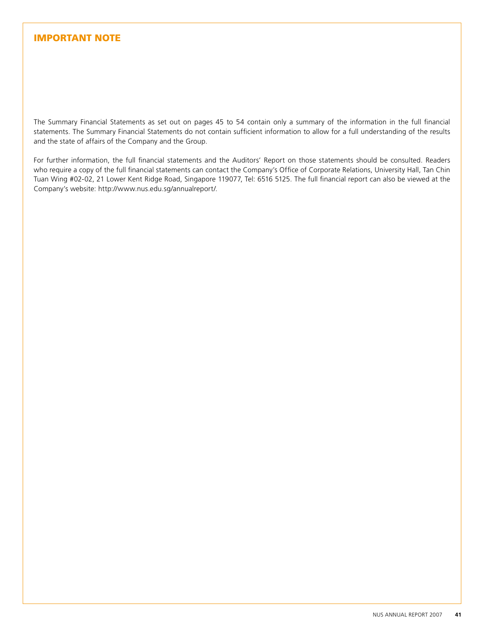# IMPORTANT NOTE

The Summary Financial Statements as set out on pages 45 to 54 contain only a summary of the information in the full financial statements. The Summary Financial Statements do not contain sufficient information to allow for a full understanding of the results and the state of affairs of the Company and the Group.

For further information, the full financial statements and the Auditors' Report on those statements should be consulted. Readers who require a copy of the full financial statements can contact the Company's Office of Corporate Relations, University Hall, Tan Chin Tuan Wing #02-02, 21 Lower Kent Ridge Road, Singapore 119077, Tel: 6516 5125. The full financial report can also be viewed at the Company's website: http://www.nus.edu.sg/annualreport/.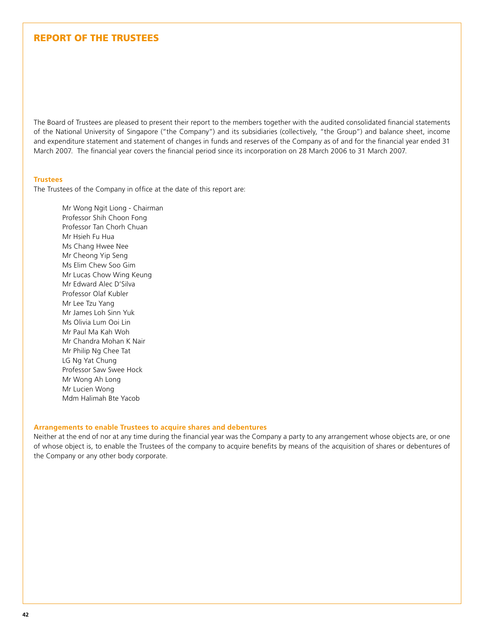# REPORT OF THE TRUSTEES

The Board of Trustees are pleased to present their report to the members together with the audited consolidated financial statements of the National University of Singapore ("the Company") and its subsidiaries (collectively, "the Group") and balance sheet, income and expenditure statement and statement of changes in funds and reserves of the Company as of and for the financial year ended 31 March 2007. The financial year covers the financial period since its incorporation on 28 March 2006 to 31 March 2007.

#### **Trustees**

The Trustees of the Company in office at the date of this report are:

Mr Wong Ngit Liong - Chairman Professor Shih Choon Fong Professor Tan Chorh Chuan Mr Hsieh Fu Hua Ms Chang Hwee Nee Mr Cheong Yip Seng Ms Elim Chew Soo Gim Mr Lucas Chow Wing Keung Mr Edward Alec D'Silva Professor Olaf Kubler Mr Lee Tzu Yang Mr James Loh Sinn Yuk Ms Olivia Lum Ooi Lin Mr Paul Ma Kah Woh Mr Chandra Mohan K Nair Mr Philip Ng Chee Tat LG Ng Yat Chung Professor Saw Swee Hock Mr Wong Ah Long Mr Lucien Wong Mdm Halimah Bte Yacob

#### **Arrangements to enable Trustees to acquire shares and debentures**

Neither at the end of nor at any time during the financial year was the Company a party to any arrangement whose objects are, or one of whose object is, to enable the Trustees of the company to acquire benefits by means of the acquisition of shares or debentures of the Company or any other body corporate.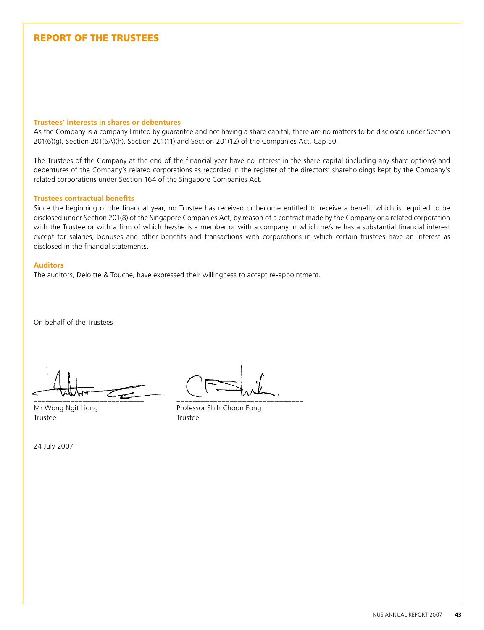# REPORT OF THE TRUSTEES

#### **Trustees' interests in shares or debentures**

As the Company is a company limited by guarantee and not having a share capital, there are no matters to be disclosed under Section 201(6)(g), Section 201(6A)(h), Section 201(11) and Section 201(12) of the Companies Act, Cap 50.

The Trustees of the Company at the end of the financial year have no interest in the share capital (including any share options) and debentures of the Company's related corporations as recorded in the register of the directors' shareholdings kept by the Company's related corporations under Section 164 of the Singapore Companies Act.

#### **Trustees contractual benefits**

Since the beginning of the financial year, no Trustee has received or become entitled to receive a benefit which is required to be disclosed under Section 201(8) of the Singapore Companies Act, by reason of a contract made by the Company or a related corporation with the Trustee or with a firm of which he/she is a member or with a company in which he/she has a substantial financial interest except for salaries, bonuses and other benefits and transactions with corporations in which certain trustees have an interest as disclosed in the financial statements.

#### **Auditors**

The auditors, Deloitte & Touche, have expressed their willingness to accept re-appointment.

On behalf of the Trustees

\_\_\_\_\_\_\_\_\_\_\_\_\_\_\_\_\_\_\_\_\_\_\_\_\_\_\_ \_\_\_\_\_\_\_\_\_\_\_\_\_\_\_\_\_\_\_\_\_\_\_\_\_\_\_\_\_\_\_

Trustee Trustee

Mr Wong Ngit Liong **Professor Shih Choon Fong** 

24 July 2007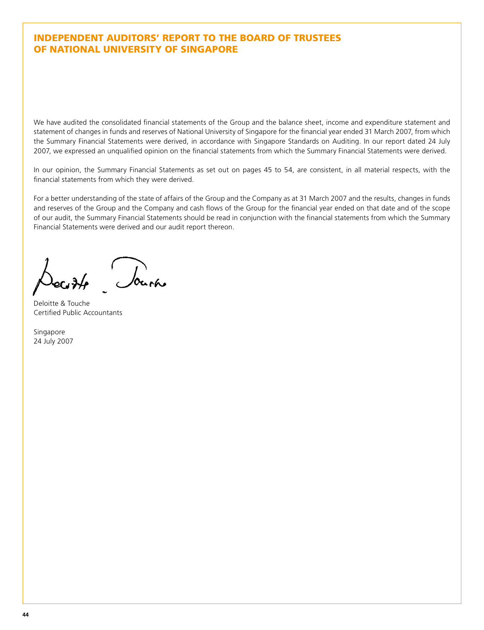# Independent Auditors' report to the Board of Trustees of National University of Singapore

We have audited the consolidated financial statements of the Group and the balance sheet, income and expenditure statement and statement of changes in funds and reserves of National University of Singapore for the financial year ended 31 March 2007, from which the Summary Financial Statements were derived, in accordance with Singapore Standards on Auditing. In our report dated 24 July 2007, we expressed an unqualified opinion on the financial statements from which the Summary Financial Statements were derived.

In our opinion, the Summary Financial Statements as set out on pages 45 to 54, are consistent, in all material respects, with the financial statements from which they were derived.

For a better understanding of the state of affairs of the Group and the Company as at 31 March 2007 and the results, changes in funds and reserves of the Group and the Company and cash flows of the Group for the financial year ended on that date and of the scope of our audit, the Summary Financial Statements should be read in conjunction with the financial statements from which the Summary Financial Statements were derived and our audit report thereon.

Source

Deloitte & Touche Certified Public Accountants

Singapore 24 July 2007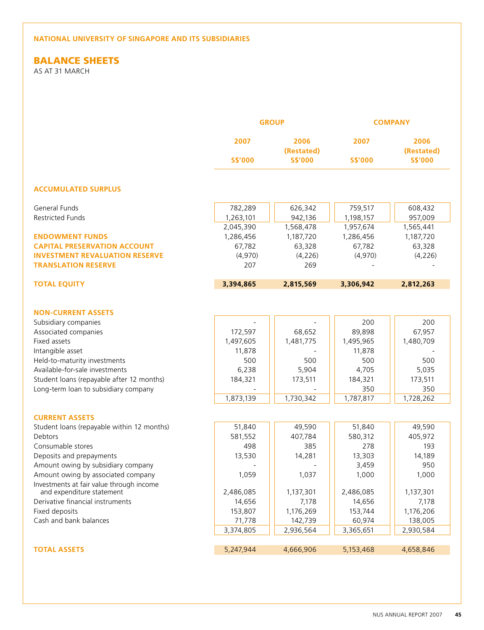# Balance Sheets

As at 31 March

|                                            |                | <b>GROUP</b>       |                | <b>COMPANY</b>     |
|--------------------------------------------|----------------|--------------------|----------------|--------------------|
|                                            | 2007           | 2006<br>(Restated) | 2007           | 2006<br>(Restated) |
|                                            | <b>S\$'000</b> | <b>S\$'000</b>     | <b>S\$'000</b> | <b>S\$'000</b>     |
| <b>ACCUMULATED SURPLUS</b>                 |                |                    |                |                    |
| General Funds                              | 782,289        | 626,342            | 759,517        | 608,432            |
| Restricted Funds                           | 1,263,101      | 942,136            | 1,198,157      | 957,009            |
|                                            | 2,045,390      | 1,568,478          | 1,957,674      | 1,565,441          |
| <b>ENDOWMENT FUNDS</b>                     | 1,286,456      | 1,187,720          | 1,286,456      | 1,187,720          |
| <b>CAPITAL PRESERVATION ACCOUNT</b>        | 67,782         | 63,328             | 67,782         | 63,328             |
| <b>INVESTMENT REVALUATION RESERVE</b>      | (4,970)        | (4, 226)           | (4,970)        | (4, 226)           |
| <b>TRANSLATION RESERVE</b>                 | 207            | 269                |                |                    |
| <b>TOTAL EQUITY</b>                        | 3,394,865      | 2,815,569          | 3,306,942      | 2,812,263          |
|                                            |                |                    |                |                    |
| <b>NON-CURRENT ASSETS</b>                  |                |                    |                |                    |
| Subsidiary companies                       |                |                    | 200            | 200                |
| Associated companies                       | 172,597        | 68,652             | 89,898         | 67,957             |
| Fixed assets                               | 1,497,605      | 1,481,775          | 1,495,965      | 1,480,709          |
| Intangible asset                           | 11,878         |                    | 11,878         |                    |
| Held-to-maturity investments               | 500            | 500                | 500            | 500                |
| Available-for-sale investments             | 6,238          | 5,904              | 4,705          | 5,035              |
| Student loans (repayable after 12 months)  | 184,321        | 173,511            | 184,321        | 173,511            |
| Long-term loan to subsidiary company       |                |                    | 350            | 350                |
|                                            | 1,873,139      | 1,730,342          | 1,787,817      | 1,728,262          |
| <b>CURRENT ASSETS</b>                      |                |                    |                |                    |
| Student loans (repayable within 12 months) | 51,840         | 49,590             | 51,840         | 49,590             |
| Debtors                                    | 581,552        | 407,784            | 580,312        | 405,972            |
| Consumable stores                          | 498            | 385                | 278            | 193                |
| Deposits and prepayments                   | 13,530         | 14,281             | 13,303         | 14,189             |
| Amount owing by subsidiary company         |                |                    | 3,459          | 950                |
| Amount owing by associated company         | 1,059          | 1,037              | 1,000          | 1,000              |
| Investments at fair value through income   |                |                    |                |                    |
| and expenditure statement                  | 2,486,085      | 1,137,301          | 2,486,085      | 1,137,301          |
| Derivative financial instruments           | 14,656         | 7,178              | 14,656         | 7,178              |
| Fixed deposits                             | 153,807        | 1,176,269          | 153,744        | 1,176,206          |
| Cash and bank balances                     | 71,778         | 142,739            | 60,974         | 138,005            |
|                                            | 3,374,805      | 2,936,564          | 3,365,651      | 2,930,584          |
| <b>TOTAL ASSETS</b>                        | 5,247,944      | 4,666,906          | 5,153,468      | 4,658,846          |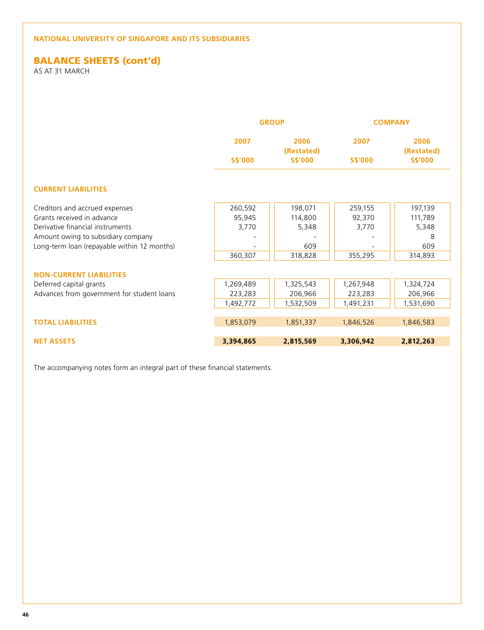# **BALANCE SHEETS (cont'd)**

As at 31 March

|                                             |                | <b>GROUP</b>       |                | <b>COMPANY</b>     |
|---------------------------------------------|----------------|--------------------|----------------|--------------------|
|                                             | 2007           | 2006<br>(Restated) | 2007           | 2006<br>(Restated) |
|                                             | <b>S\$'000</b> | <b>S\$'000</b>     | <b>S\$'000</b> | <b>S\$'000</b>     |
| <b>CURRENT LIABILITIES</b>                  |                |                    |                |                    |
| Creditors and accrued expenses              | 260,592        | 198,071            | 259,155        | 197,139            |
| Grants received in advance                  | 95,945         | 114,800            | 92,370         | 111,789            |
| Derivative financial instruments            | 3,770          | 5,348              | 3,770          | 5,348              |
| Amount owing to subsidiary company          |                |                    |                | 8                  |
| Long-term loan (repayable within 12 months) |                | 609                |                | 609                |
|                                             | 360,307        | 318,828            | 355,295        | 314,893            |
| <b>NON-CURRENT LIABILITIES</b>              |                |                    |                |                    |
| Deferred capital grants                     | 1,269,489      | 1,325,543          | 1,267,948      | 1,324,724          |
| Advances from government for student loans  | 223,283        | 206,966            | 223,283        | 206,966            |
|                                             | 1,492,772      | 1,532,509          | 1,491,231      | 1,531,690          |
| <b>TOTAL LIABILITIES</b>                    | 1,853,079      | 1,851,337          | 1,846,526      | 1,846,583          |
|                                             |                |                    |                |                    |
| <b>NET ASSETS</b>                           | 3,394,865      | 2,815,569          | 3,306,942      | 2,812,263          |

The accompanying notes form an integral part of these financial statements.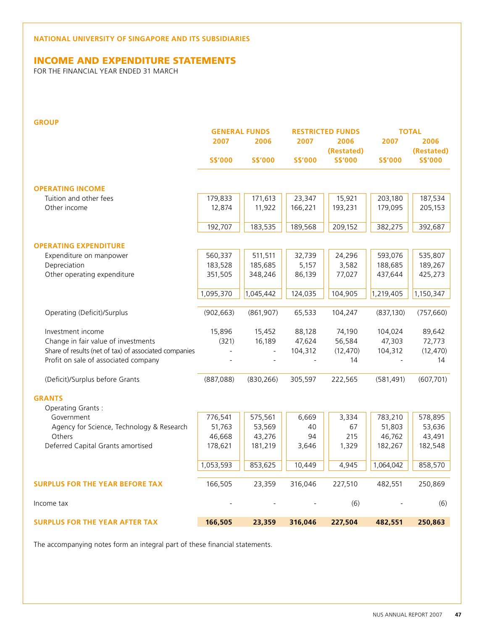# Income And Expenditure statements

For The Financial Year Ended 31 March

| . . | .,     |     |    |
|-----|--------|-----|----|
|     |        |     | ۰. |
|     |        | . . |    |
|     | ______ |     |    |

|                                                       |                | <b>GENERAL FUNDS</b>     |                | <b>RESTRICTED FUNDS</b> |                | <b>TOTAL</b>   |
|-------------------------------------------------------|----------------|--------------------------|----------------|-------------------------|----------------|----------------|
|                                                       | 2007           | 2006                     | 2007           | 2006                    | 2007           | 2006           |
|                                                       |                |                          |                | (Restated)              |                | (Restated)     |
|                                                       | <b>S\$'000</b> | <b>S\$'000</b>           | <b>S\$'000</b> | <b>S\$'000</b>          | <b>S\$'000</b> | <b>S\$'000</b> |
| <b>OPERATING INCOME</b>                               |                |                          |                |                         |                |                |
| Tuition and other fees                                | 179,833        | 171,613                  | 23,347         | 15,921                  | 203,180        | 187,534        |
| Other income                                          | 12,874         | 11,922                   | 166,221        | 193,231                 |                | 205,153        |
|                                                       |                |                          |                |                         | 179,095        |                |
|                                                       | 192,707        | 183,535                  | 189,568        | 209,152                 | 382,275        | 392,687        |
| <b>OPERATING EXPENDITURE</b>                          |                |                          |                |                         |                |                |
| Expenditure on manpower                               | 560,337        | 511,511                  | 32,739         | 24,296                  | 593,076        | 535,807        |
| Depreciation                                          | 183,528        | 185,685                  | 5,157          | 3,582                   | 188,685        | 189,267        |
| Other operating expenditure                           | 351,505        | 348,246                  | 86,139         | 77,027                  | 437,644        | 425,273        |
|                                                       | 1,095,370      | 1,045,442                | 124,035        | 104,905                 | 1,219,405      | 1,150,347      |
|                                                       |                |                          |                |                         |                |                |
| Operating (Deficit)/Surplus                           | (902, 663)     | (861, 907)               | 65,533         | 104,247                 | (837, 130)     | (757, 660)     |
| Investment income                                     | 15,896         | 15,452                   | 88,128         | 74,190                  | 104,024        | 89,642         |
| Change in fair value of investments                   | (321)          | 16,189                   | 47,624         | 56,584                  | 47,303         | 72,773         |
| Share of results (net of tax) of associated companies |                | $\overline{\phantom{0}}$ | 104,312        | (12, 470)               | 104,312        | (12, 470)      |
| Profit on sale of associated company                  |                |                          |                | 14                      |                | 14             |
| (Deficit)/Surplus before Grants                       | (887,088)      | (830, 266)               | 305,597        | 222,565                 | (581, 491)     | (607, 701)     |
| <b>GRANTS</b>                                         |                |                          |                |                         |                |                |
| Operating Grants:                                     |                |                          |                |                         |                |                |
| Government                                            | 776,541        | 575,561                  | 6,669          | 3,334                   | 783,210        | 578,895        |
| Agency for Science, Technology & Research             | 51,763         | 53,569                   | 40             | 67                      | 51,803         | 53,636         |
| Others                                                | 46,668         | 43,276                   | 94             | 215                     | 46,762         | 43,491         |
| Deferred Capital Grants amortised                     | 178,621        | 181,219                  | 3,646          | 1,329                   | 182,267        | 182,548        |
|                                                       |                |                          |                |                         |                |                |
|                                                       | 1,053,593      | 853,625                  | 10,449         | 4,945                   | 1,064,042      | 858,570        |
| <b>SURPLUS FOR THE YEAR BEFORE TAX</b>                | 166,505        | 23,359                   | 316,046        | 227,510                 | 482,551        | 250,869        |
| Income tax                                            |                |                          |                | (6)                     |                | (6)            |
| <b>SURPLUS FOR THE YEAR AFTER TAX</b>                 | 166,505        | 23,359                   | 316,046        | 227,504                 | 482,551        | 250,863        |

The accompanying notes form an integral part of these financial statements.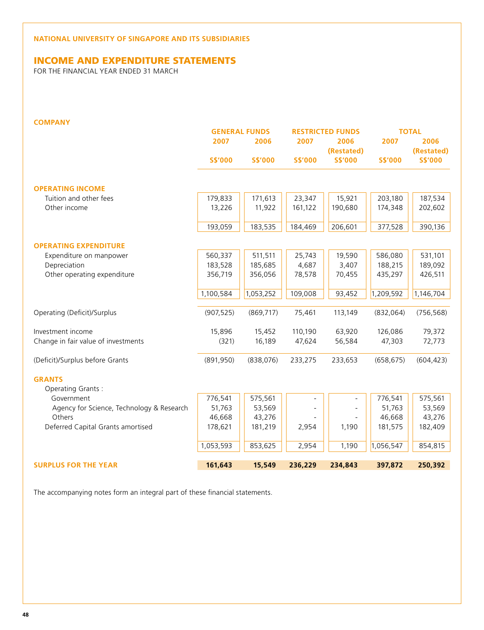# Income And Expenditure statements

For The Financial Year Ended 31 March

| ۰.<br>. . |  |  |
|-----------|--|--|
|           |  |  |

|                                           |                | <b>GENERAL FUNDS</b> | <b>RESTRICTED FUNDS</b> |                | <b>TOTAL</b>   |                |
|-------------------------------------------|----------------|----------------------|-------------------------|----------------|----------------|----------------|
|                                           | 2007           | 2006                 | 2007                    | 2006           | 2007           | 2006           |
|                                           |                |                      |                         | (Restated)     |                | (Restated)     |
|                                           | <b>S\$'000</b> | <b>S\$'000</b>       | <b>S\$'000</b>          | <b>S\$'000</b> | <b>S\$'000</b> | <b>S\$'000</b> |
|                                           |                |                      |                         |                |                |                |
| <b>OPERATING INCOME</b>                   |                |                      |                         |                |                |                |
| Tuition and other fees                    | 179,833        | 171,613              | 23,347                  | 15,921         | 203,180        | 187,534        |
| Other income                              | 13,226         | 11,922               | 161,122                 | 190,680        | 174,348        | 202,602        |
|                                           | 193,059        | 183,535              | 184,469                 | 206,601        | 377,528        | 390,136        |
| <b>OPERATING EXPENDITURE</b>              |                |                      |                         |                |                |                |
| Expenditure on manpower                   | 560,337        | 511,511              | 25,743                  | 19,590         | 586,080        | 531,101        |
| Depreciation                              | 183,528        | 185,685              | 4,687                   | 3,407          | 188,215        | 189,092        |
| Other operating expenditure               | 356,719        | 356,056              | 78,578                  | 70,455         | 435,297        | 426,511        |
|                                           | 1,100,584      | 1,053,252            | 109,008                 | 93,452         | 1,209,592      | 1,146,704      |
| Operating (Deficit)/Surplus               | (907, 525)     | (869, 717)           | 75,461                  | 113,149        | (832,064)      | (756, 568)     |
| Investment income                         | 15,896         | 15,452               | 110,190                 | 63,920         | 126,086        | 79,372         |
| Change in fair value of investments       | (321)          | 16,189               | 47,624                  | 56,584         | 47,303         | 72,773         |
| (Deficit)/Surplus before Grants           | (891, 950)     | (838,076)            | 233,275                 | 233,653        | (658, 675)     | (604, 423)     |
| <b>GRANTS</b>                             |                |                      |                         |                |                |                |
| Operating Grants:                         |                |                      |                         |                |                |                |
| Government                                | 776,541        | 575,561              |                         |                | 776,541        | 575,561        |
| Agency for Science, Technology & Research | 51,763         | 53,569               |                         |                | 51,763         | 53,569         |
| Others                                    | 46,668         | 43,276               |                         |                | 46,668         | 43,276         |
| Deferred Capital Grants amortised         | 178,621        | 181,219              | 2,954                   | 1,190          | 181,575        | 182,409        |
|                                           | 1,053,593      | 853,625              | 2,954                   | 1,190          | 1,056,547      | 854,815        |
| <b>SURPLUS FOR THE YEAR</b>               | 161,643        | 15,549               | 236,229                 | 234,843        | 397,872        | 250,392        |

The accompanying notes form an integral part of these financial statements.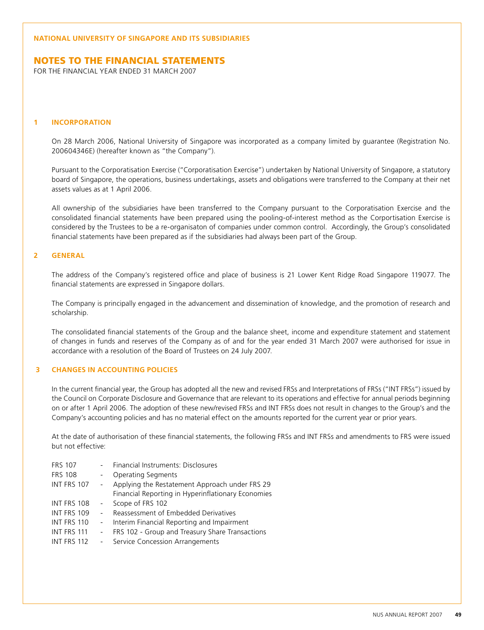## Notes To The Financial Statements

For The Financial Year Ended 31 March 2007

#### **1 INCORPORATION**

 On 28 March 2006, National University of Singapore was incorporated as a company limited by guarantee (Registration No. 200604346E) (hereafter known as "the Company").

 Pursuant to the Corporatisation Exercise ("Corporatisation Exercise") undertaken by National University of Singapore, a statutory board of Singapore, the operations, business undertakings, assets and obligations were transferred to the Company at their net assets values as at 1 April 2006.

All ownership of the subsidiaries have been transferred to the Company pursuant to the Corporatisation Exercise and the consolidated financial statements have been prepared using the pooling-of-interest method as the Corportisation Exercise is considered by the Trustees to be a re-organisaton of companies under common control. Accordingly, the Group's consolidated financial statements have been prepared as if the subsidiaries had always been part of the Group.

## **2 GENERAL**

 The address of the Company's registered office and place of business is 21 Lower Kent Ridge Road Singapore 119077. The financial statements are expressed in Singapore dollars.

 The Company is principally engaged in the advancement and dissemination of knowledge, and the promotion of research and scholarship.

 The consolidated financial statements of the Group and the balance sheet, income and expenditure statement and statement of changes in funds and reserves of the Company as of and for the year ended 31 March 2007 were authorised for issue in accordance with a resolution of the Board of Trustees on 24 July 2007.

### **3 CHANGES IN ACCOUNTING POLICIES**

In the current financial year, the Group has adopted all the new and revised FRSs and Interpretations of FRSs ("INT FRSs") issued by the Council on Corporate Disclosure and Governance that are relevant to its operations and effective for annual periods beginning on or after 1 April 2006. The adoption of these new/revised FRSs and INT FRSs does not result in changes to the Group's and the Company's accounting policies and has no material effect on the amounts reported for the current year or prior years.

At the date of authorisation of these financial statements, the following FRSs and INT FRSs and amendments to FRS were issued but not effective:

| <b>FRS 107</b>     |           | Financial Instruments: Disclosures                 |
|--------------------|-----------|----------------------------------------------------|
| <b>FRS 108</b>     |           | <b>Operating Segments</b>                          |
| INT FRS 107        |           | Applying the Restatement Approach under FRS 29     |
|                    |           | Financial Reporting in Hyperinflationary Economies |
| INT FRS 108        | $\sim$    | Scope of FRS 102                                   |
| INT FRS 109        |           | Reassessment of Embedded Derivatives               |
| INT FRS 110        | $\sim 10$ | Interim Financial Reporting and Impairment         |
| INT FRS 111        |           | FRS 102 - Group and Treasury Share Transactions    |
| <b>INT FRS 112</b> |           | Service Concession Arrangements                    |
|                    |           |                                                    |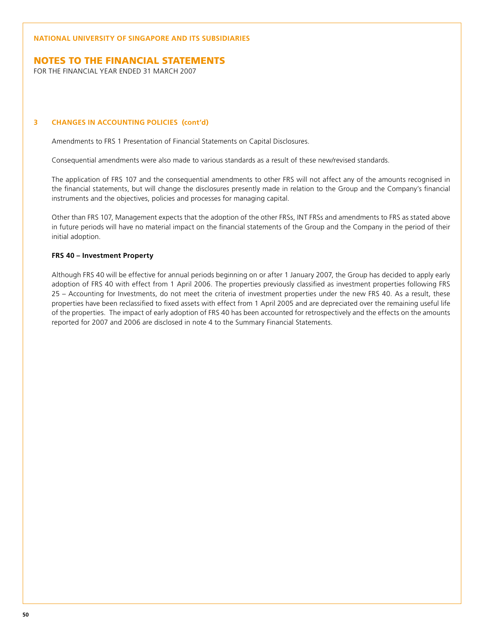## Notes To The Financial Statements

For The Financial Year Ended 31 March 2007

### **3 CHANGES IN ACCOUNTING POLICIES (cont'd)**

Amendments to FRS 1 Presentation of Financial Statements on Capital Disclosures.

Consequential amendments were also made to various standards as a result of these new/revised standards.

 The application of FRS 107 and the consequential amendments to other FRS will not affect any of the amounts recognised in the financial statements, but will change the disclosures presently made in relation to the Group and the Company's financial instruments and the objectives, policies and processes for managing capital.

 Other than FRS 107, Management expects that the adoption of the other FRSs, INT FRSs and amendments to FRS as stated above in future periods will have no material impact on the financial statements of the Group and the Company in the period of their initial adoption.

### **FRS 40 – Investment Property**

Although FRS 40 will be effective for annual periods beginning on or after 1 January 2007, the Group has decided to apply early adoption of FRS 40 with effect from 1 April 2006. The properties previously classified as investment properties following FRS 25 – Accounting for Investments, do not meet the criteria of investment properties under the new FRS 40. As a result, these properties have been reclassified to fixed assets with effect from 1 April 2005 and are depreciated over the remaining useful life of the properties. The impact of early adoption of FRS 40 has been accounted for retrospectively and the effects on the amounts reported for 2007 and 2006 are disclosed in note 4 to the Summary Financial Statements.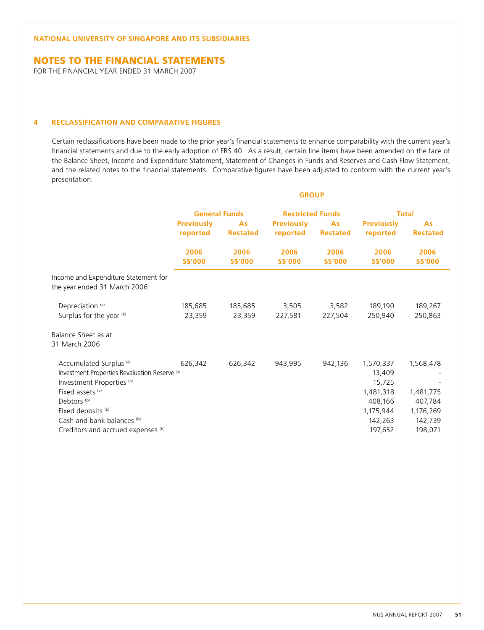## Notes To The Financial Statements

For The Financial Year Ended 31 March 2007

### **4 RECLASSIFICATION AND COMPARATIVE FIGURES**

Certain reclassifications have been made to the prior year's financial statements to enhance comparability with the current year's financial statements and due to the early adoption of FRS 40. As a result, certain line items have been amended on the face of the Balance Sheet, Income and Expenditure Statement, Statement of Changes in Funds and Reserves and Cash Flow Statement, and the related notes to the financial statements. Comparative figures have been adjusted to conform with the current year's presentation.

**GROUP**

|                                                                                                                                                                                                                                                                                           | <b>General Funds</b>          |                        | <b>Restricted Funds</b>       |                        | <b>Total</b>                                                                             |                                                                      |
|-------------------------------------------------------------------------------------------------------------------------------------------------------------------------------------------------------------------------------------------------------------------------------------------|-------------------------------|------------------------|-------------------------------|------------------------|------------------------------------------------------------------------------------------|----------------------------------------------------------------------|
|                                                                                                                                                                                                                                                                                           | <b>Previously</b><br>reported | As<br><b>Restated</b>  | <b>Previously</b><br>reported | As<br><b>Restated</b>  | <b>Previously</b><br>reported                                                            | As<br><b>Restated</b>                                                |
|                                                                                                                                                                                                                                                                                           | 2006<br><b>S\$'000</b>        | 2006<br><b>S\$'000</b> | 2006<br><b>S\$'000</b>        | 2006<br><b>S\$'000</b> | 2006<br><b>S\$'000</b>                                                                   | 2006<br><b>S\$'000</b>                                               |
| Income and Expenditure Statement for<br>the year ended 31 March 2006                                                                                                                                                                                                                      |                               |                        |                               |                        |                                                                                          |                                                                      |
| Depreciation <sup>(a)</sup><br>Surplus for the year (a)                                                                                                                                                                                                                                   | 185,685<br>23,359             | 185,685<br>23,359      | 3,505<br>227,581              | 3,582<br>227,504       | 189,190<br>250,940                                                                       | 189,267<br>250,863                                                   |
| Balance Sheet as at<br>31 March 2006                                                                                                                                                                                                                                                      |                               |                        |                               |                        |                                                                                          |                                                                      |
| Accumulated Surplus <sup>(a)</sup><br>Investment Properties Revaluation Reserve <sup>(a)</sup><br>Investment Properties <sup>(a)</sup><br>Fixed assets (a)<br>Debtors <sup>(b)</sup><br>Fixed deposits <sup>(b)</sup><br>Cash and bank balances (b)<br>Creditors and accrued expenses (b) | 626,342                       | 626,342                | 943,995                       | 942,136                | 1,570,337<br>13,409<br>15,725<br>1,481,318<br>408,166<br>1,175,944<br>142,263<br>197,652 | 1,568,478<br>1,481,775<br>407,784<br>1,176,269<br>142,739<br>198,071 |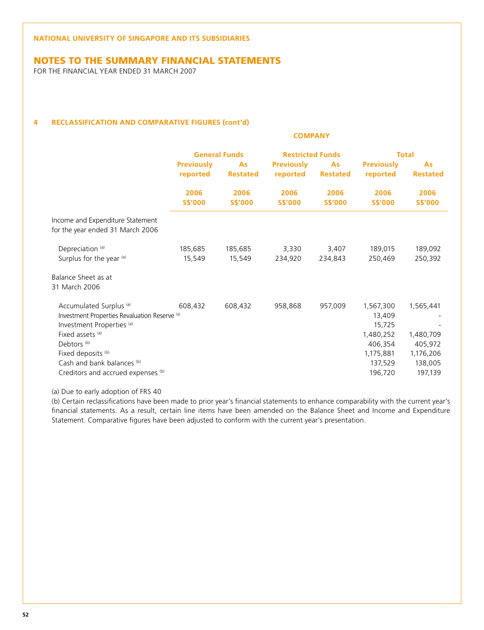## NOTES TO THE SUMMARY FINANCIAL STATEMENTS

For The Financial Year Ended 31 March 2007

### **4 RECLASSIFICATION AND COMPARATIVE FIGURES (cont'd)**

|                                                                                                                                                                                                                                                                                           | <b>COMPANY</b>                |                        |                               |                        |                                                                                          |                                                                      |  |
|-------------------------------------------------------------------------------------------------------------------------------------------------------------------------------------------------------------------------------------------------------------------------------------------|-------------------------------|------------------------|-------------------------------|------------------------|------------------------------------------------------------------------------------------|----------------------------------------------------------------------|--|
|                                                                                                                                                                                                                                                                                           |                               | <b>General Funds</b>   | <b>Restricted Funds</b>       |                        |                                                                                          | <b>Total</b>                                                         |  |
|                                                                                                                                                                                                                                                                                           | <b>Previously</b><br>reported | As<br><b>Restated</b>  | <b>Previously</b><br>reported | As<br><b>Restated</b>  | <b>Previously</b><br>reported                                                            | As<br><b>Restated</b>                                                |  |
|                                                                                                                                                                                                                                                                                           | 2006<br><b>S\$'000</b>        | 2006<br><b>S\$'000</b> | 2006<br><b>S\$'000</b>        | 2006<br><b>S\$'000</b> | 2006<br><b>S\$'000</b>                                                                   | 2006<br><b>S\$'000</b>                                               |  |
| Income and Expenditure Statement<br>for the year ended 31 March 2006                                                                                                                                                                                                                      |                               |                        |                               |                        |                                                                                          |                                                                      |  |
| Depreciation <sup>(a)</sup><br>Surplus for the year (a)                                                                                                                                                                                                                                   | 185,685<br>15,549             | 185,685<br>15,549      | 3,330<br>234,920              | 3,407<br>234,843       | 189,015<br>250,469                                                                       | 189,092<br>250,392                                                   |  |
| Balance Sheet as at<br>31 March 2006                                                                                                                                                                                                                                                      |                               |                        |                               |                        |                                                                                          |                                                                      |  |
| Accumulated Surplus <sup>(a)</sup><br>Investment Properties Revaluation Reserve <sup>(a)</sup><br>Investment Properties <sup>(a)</sup><br>Fixed assets (a)<br>Debtors <sup>(b)</sup><br>Fixed deposits <sup>(b)</sup><br>Cash and bank balances (b)<br>Creditors and accrued expenses (b) | 608,432                       | 608,432                | 958,868                       | 957,009                | 1,567,300<br>13,409<br>15,725<br>1,480,252<br>406,354<br>1,175,881<br>137,529<br>196,720 | 1,565,441<br>1,480,709<br>405,972<br>1,176,206<br>138,005<br>197,139 |  |

(a) Due to early adoption of FRS 40

(b) Certain reclassifications have been made to prior year's financial statements to enhance comparability with the current year's financial statements. As a result, certain line items have been amended on the Balance Sheet and Income and Expenditure Statement. Comparative figures have been adjusted to conform with the current year's presentation.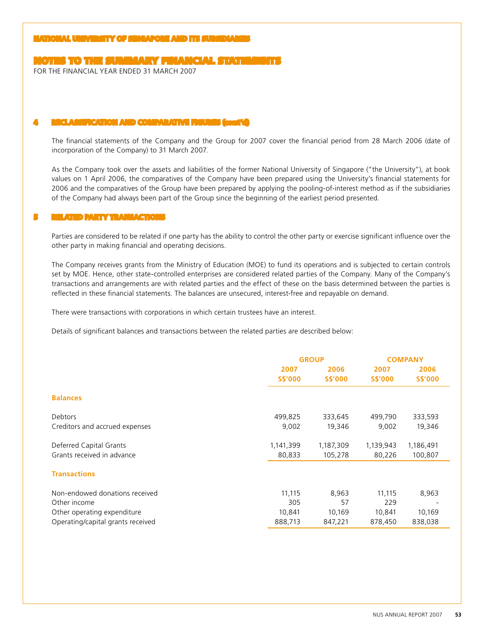## NOTES TO THE SUMMARY FINANCIAL STATEMENTS

For The Financial Year Ended 31 March 2007

#### **4 RECLASSIFICATION AND COMPARATIVE FIGURES (cont'd)**

 The financial statements of the Company and the Group for 2007 cover the financial period from 28 March 2006 (date of incorporation of the Company) to 31 March 2007.

As the Company took over the assets and liabilities of the former National University of Singapore ("the University"), at book values on 1 April 2006, the comparatives of the Company have been prepared using the University's financial statements for 2006 and the comparatives of the Group have been prepared by applying the pooling-of-interest method as if the subsidiaries of the Company had always been part of the Group since the beginning of the earliest period presented.

#### **5 RELATED PARTY TRANSACTIONS**

 Parties are considered to be related if one party has the ability to control the other party or exercise significant influence over the other party in making financial and operating decisions.

 The Company receives grants from the Ministry of Education (MOE) to fund its operations and is subjected to certain controls set by MOE. Hence, other state-controlled enterprises are considered related parties of the Company. Many of the Company's transactions and arrangements are with related parties and the effect of these on the basis determined between the parties is reflected in these financial statements. The balances are unsecured, interest-free and repayable on demand.

There were transactions with corporations in which certain trustees have an interest.

Details of significant balances and transactions between the related parties are described below:

|                                   |                | <b>GROUP</b>   | <b>COMPANY</b> |                          |  |
|-----------------------------------|----------------|----------------|----------------|--------------------------|--|
|                                   | 2007           | 2006           | 2007           | 2006                     |  |
|                                   | <b>S\$'000</b> | <b>S\$'000</b> | <b>S\$'000</b> | <b>S\$'000</b>           |  |
| <b>Balances</b>                   |                |                |                |                          |  |
| <b>Debtors</b>                    | 499,825        | 333,645        | 499,790        | 333,593                  |  |
| Creditors and accrued expenses    | 9,002          | 19,346         | 9,002          | 19,346                   |  |
| Deferred Capital Grants           | 1,141,399      | 1,187,309      | 1,139,943      | 1,186,491                |  |
| Grants received in advance        | 80,833         | 105,278        | 80,226         | 100,807                  |  |
| <b>Transactions</b>               |                |                |                |                          |  |
| Non-endowed donations received    | 11,115         | 8,963          | 11,115         | 8,963                    |  |
| Other income                      | 305            | 57             | 229            | $\overline{\phantom{a}}$ |  |
| Other operating expenditure       | 10,841         | 10,169         | 10,841         | 10,169                   |  |
| Operating/capital grants received | 888,713        | 847,221        | 878,450        | 838,038                  |  |